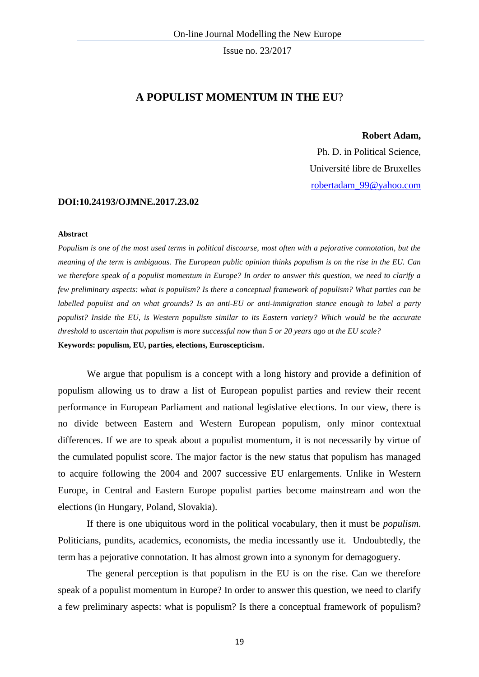# **A POPULIST MOMENTUM IN THE EU**?

#### **Robert Adam,**

Ph. D. in Political Science, Université libre de Bruxelles [robertadam\\_99@yahoo.com](mailto:robertadam_99@yahoo.com)

#### **DOI:10.24193/OJMNE.2017.23.02**

#### **Abstract**

*Populism is one of the most used terms in political discourse, most often with a pejorative connotation, but the meaning of the term is ambiguous. The European public opinion thinks populism is on the rise in the EU. Can we therefore speak of a populist momentum in Europe? In order to answer this question, we need to clarify a few preliminary aspects: what is populism? Is there a conceptual framework of populism? What parties can be labelled populist and on what grounds? Is an anti-EU or anti-immigration stance enough to label a party populist? Inside the EU, is Western populism similar to its Eastern variety? Which would be the accurate threshold to ascertain that populism is more successful now than 5 or 20 years ago at the EU scale?*  **Keywords: populism, EU, parties, elections, Euroscepticism.**

We argue that populism is a concept with a long history and provide a definition of populism allowing us to draw a list of European populist parties and review their recent performance in European Parliament and national legislative elections. In our view, there is no divide between Eastern and Western European populism, only minor contextual differences. If we are to speak about a populist momentum, it is not necessarily by virtue of the cumulated populist score. The major factor is the new status that populism has managed to acquire following the 2004 and 2007 successive EU enlargements. Unlike in Western Europe, in Central and Eastern Europe populist parties become mainstream and won the elections (in Hungary, Poland, Slovakia).

If there is one ubiquitous word in the political vocabulary, then it must be *populism*. Politicians, pundits, academics, economists, the media incessantly use it. Undoubtedly, the term has a pejorative connotation. It has almost grown into a synonym for demagoguery.

The general perception is that populism in the EU is on the rise. Can we therefore speak of a populist momentum in Europe? In order to answer this question, we need to clarify a few preliminary aspects: what is populism? Is there a conceptual framework of populism?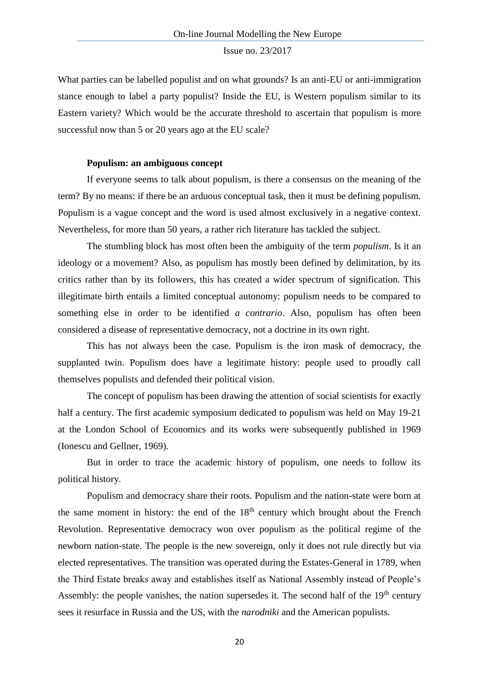What parties can be labelled populist and on what grounds? Is an anti-EU or anti-immigration stance enough to label a party populist? Inside the EU, is Western populism similar to its Eastern variety? Which would be the accurate threshold to ascertain that populism is more successful now than 5 or 20 years ago at the EU scale?

## **Populism: an ambiguous concept**

If everyone seems to talk about populism, is there a consensus on the meaning of the term? By no means: if there be an arduous conceptual task, then it must be defining populism. Populism is a vague concept and the word is used almost exclusively in a negative context. Nevertheless, for more than 50 years, a rather rich literature has tackled the subject.

The stumbling block has most often been the ambiguity of the term *populism*. Is it an ideology or a movement? Also, as populism has mostly been defined by delimitation, by its critics rather than by its followers, this has created a wider spectrum of signification. This illegitimate birth entails a limited conceptual autonomy: populism needs to be compared to something else in order to be identified *a contrario*. Also, populism has often been considered a disease of representative democracy, not a doctrine in its own right.

This has not always been the case. Populism is the iron mask of democracy, the supplanted twin. Populism does have a legitimate history: people used to proudly call themselves populists and defended their political vision.

The concept of populism has been drawing the attention of social scientists for exactly half a century. The first academic symposium dedicated to populism was held on May 19-21 at the London School of Economics and its works were subsequently published in 1969 (Ionescu and Gellner, 1969).

But in order to trace the academic history of populism, one needs to follow its political history.

Populism and democracy share their roots. Populism and the nation-state were born at the same moment in history: the end of the  $18<sup>th</sup>$  century which brought about the French Revolution. Representative democracy won over populism as the political regime of the newborn nation-state. The people is the new sovereign, only it does not rule directly but via elected representatives. The transition was operated during the Estates-General in 1789, when the Third Estate breaks away and establishes itself as National Assembly instead of People's Assembly: the people vanishes, the nation supersedes it. The second half of the  $19<sup>th</sup>$  century sees it resurface in Russia and the US, with the *narodniki* and the American populists.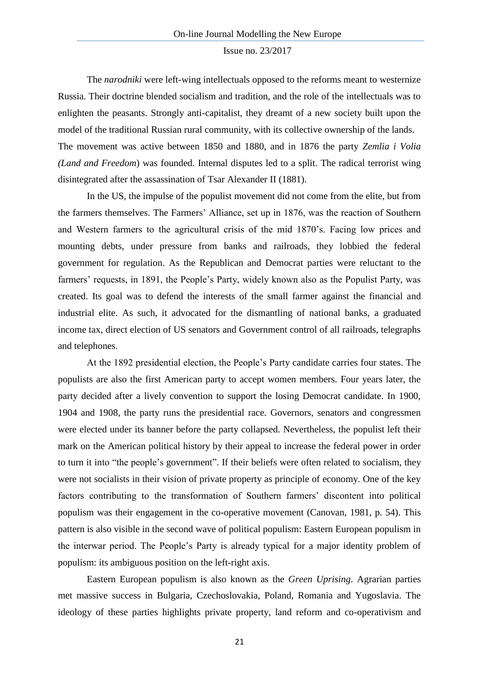The *narodniki* were left-wing intellectuals opposed to the reforms meant to westernize Russia. Their doctrine blended socialism and tradition, and the role of the intellectuals was to enlighten the peasants. Strongly anti-capitalist, they dreamt of a new society built upon the model of the traditional Russian rural community, with its collective ownership of the lands. The movement was active between 1850 and 1880, and in 1876 the party *Zemlia i Volia (Land and Freedom*) was founded. Internal disputes led to a split. The radical terrorist wing disintegrated after the assassination of Tsar Alexander II (1881).

In the US, the impulse of the populist movement did not come from the elite, but from the farmers themselves. The Farmers' Alliance, set up in 1876, was the reaction of Southern and Western farmers to the agricultural crisis of the mid 1870's. Facing low prices and mounting debts, under pressure from banks and railroads, they lobbied the federal government for regulation. As the Republican and Democrat parties were reluctant to the farmers' requests, in 1891, the People's Party, widely known also as the Populist Party, was created. Its goal was to defend the interests of the small farmer against the financial and industrial elite. As such, it advocated for the dismantling of national banks, a graduated income tax, direct election of US senators and Government control of all railroads, telegraphs and telephones.

At the 1892 presidential election, the People's Party candidate carries four states. The populists are also the first American party to accept women members. Four years later, the party decided after a lively convention to support the losing Democrat candidate. In 1900, 1904 and 1908, the party runs the presidential race. Governors, senators and congressmen were elected under its banner before the party collapsed. Nevertheless, the populist left their mark on the American political history by their appeal to increase the federal power in order to turn it into "the people's government". If their beliefs were often related to socialism, they were not socialists in their vision of private property as principle of economy. One of the key factors contributing to the transformation of Southern farmers' discontent into political populism was their engagement in the co-operative movement (Canovan, 1981, p. 54). This pattern is also visible in the second wave of political populism: Eastern European populism in the interwar period. The People's Party is already typical for a major identity problem of populism: its ambiguous position on the left-right axis.

Eastern European populism is also known as the *Green Uprising*. Agrarian parties met massive success in Bulgaria, Czechoslovakia, Poland, Romania and Yugoslavia. The ideology of these parties highlights private property, land reform and co-operativism and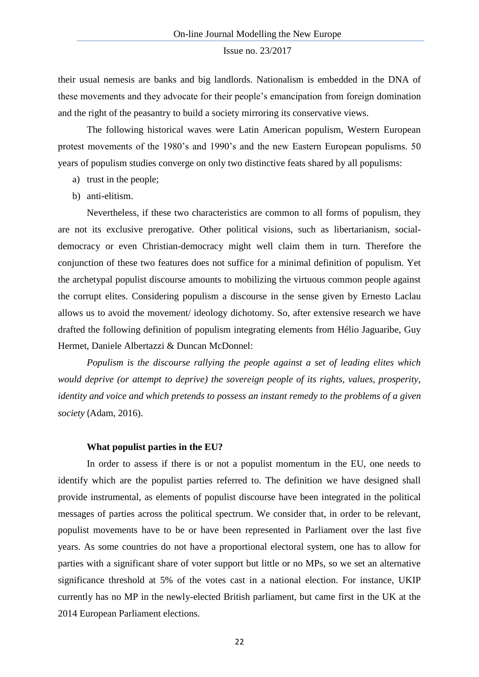their usual nemesis are banks and big landlords. Nationalism is embedded in the DNA of these movements and they advocate for their people's emancipation from foreign domination and the right of the peasantry to build a society mirroring its conservative views.

The following historical waves were Latin American populism, Western European protest movements of the 1980's and 1990's and the new Eastern European populisms. 50 years of populism studies converge on only two distinctive feats shared by all populisms:

- a) trust in the people;
- b) anti-elitism.

Nevertheless, if these two characteristics are common to all forms of populism, they are not its exclusive prerogative. Other political visions, such as libertarianism, socialdemocracy or even Christian-democracy might well claim them in turn. Therefore the conjunction of these two features does not suffice for a minimal definition of populism. Yet the archetypal populist discourse amounts to mobilizing the virtuous common people against the corrupt elites. Considering populism a discourse in the sense given by Ernesto Laclau allows us to avoid the movement/ ideology dichotomy. So, after extensive research we have drafted the following definition of populism integrating elements from Hélio Jaguaribe, Guy Hermet, Daniele Albertazzi & Duncan McDonnel:

*Populism is the discourse rallying the people against a set of leading elites which would deprive (or attempt to deprive) the sovereign people of its rights, values, prosperity, identity and voice and which pretends to possess an instant remedy to the problems of a given society* (Adam, 2016).

#### **What populist parties in the EU?**

In order to assess if there is or not a populist momentum in the EU, one needs to identify which are the populist parties referred to. The definition we have designed shall provide instrumental, as elements of populist discourse have been integrated in the political messages of parties across the political spectrum. We consider that, in order to be relevant, populist movements have to be or have been represented in Parliament over the last five years. As some countries do not have a proportional electoral system, one has to allow for parties with a significant share of voter support but little or no MPs, so we set an alternative significance threshold at 5% of the votes cast in a national election. For instance, UKIP currently has no MP in the newly-elected British parliament, but came first in the UK at the 2014 European Parliament elections.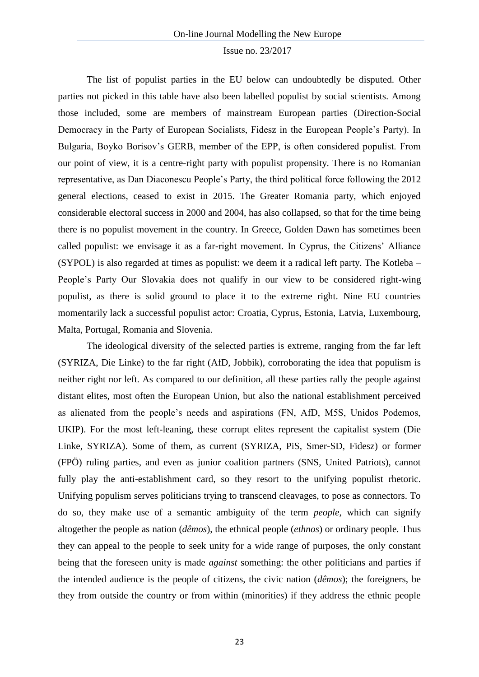The list of populist parties in the EU below can undoubtedly be disputed. Other parties not picked in this table have also been labelled populist by social scientists. Among those included, some are members of mainstream European parties (Direction-Social Democracy in the Party of European Socialists, Fidesz in the European People's Party). In Bulgaria, Boyko Borisov's GERB, member of the EPP, is often considered populist. From our point of view, it is a centre-right party with populist propensity. There is no Romanian representative, as Dan Diaconescu People's Party, the third political force following the 2012 general elections, ceased to exist in 2015. The Greater Romania party, which enjoyed considerable electoral success in 2000 and 2004, has also collapsed, so that for the time being there is no populist movement in the country. In Greece, Golden Dawn has sometimes been called populist: we envisage it as a far-right movement. In Cyprus, the Citizens' Alliance (SYPOL) is also regarded at times as populist: we deem it a radical left party. The Kotleba – People's Party Our Slovakia does not qualify in our view to be considered right-wing populist, as there is solid ground to place it to the extreme right. Nine EU countries momentarily lack a successful populist actor: Croatia, Cyprus, Estonia, Latvia, Luxembourg, Malta, Portugal, Romania and Slovenia.

The ideological diversity of the selected parties is extreme, ranging from the far left (SYRIZA, Die Linke) to the far right (AfD, Jobbik), corroborating the idea that populism is neither right nor left. As compared to our definition, all these parties rally the people against distant elites, most often the European Union, but also the national establishment perceived as alienated from the people's needs and aspirations (FN, AfD, M5S, Unidos Podemos, UKIP). For the most left-leaning, these corrupt elites represent the capitalist system (Die Linke, SYRIZA). Some of them, as current (SYRIZA, PiS, Smer-SD, Fidesz) or former (FPÖ) ruling parties, and even as junior coalition partners (SNS, United Patriots), cannot fully play the anti-establishment card, so they resort to the unifying populist rhetoric. Unifying populism serves politicians trying to transcend cleavages, to pose as connectors. To do so, they make use of a semantic ambiguity of the term *people*, which can signify altogether the people as nation (*dêmos*), the ethnical people (*ethnos*) or ordinary people. Thus they can appeal to the people to seek unity for a wide range of purposes, the only constant being that the foreseen unity is made *against* something: the other politicians and parties if the intended audience is the people of citizens, the civic nation (*dêmos*); the foreigners, be they from outside the country or from within (minorities) if they address the ethnic people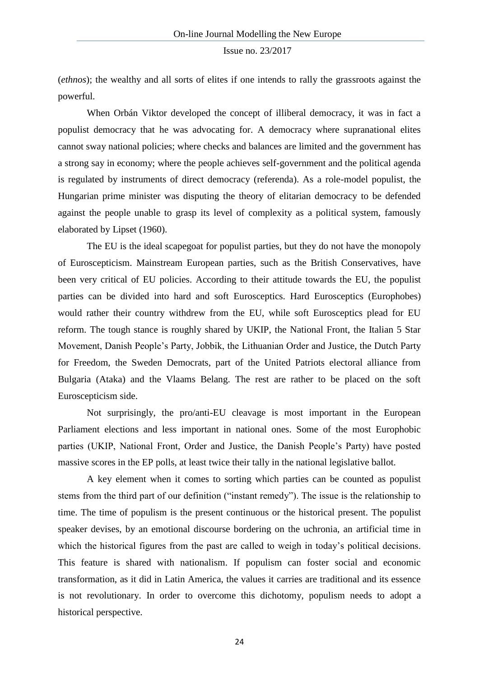(*ethnos*); the wealthy and all sorts of elites if one intends to rally the grassroots against the powerful.

When Orbán Viktor developed the concept of illiberal democracy, it was in fact a populist democracy that he was advocating for. A democracy where supranational elites cannot sway national policies; where checks and balances are limited and the government has a strong say in economy; where the people achieves self-government and the political agenda is regulated by instruments of direct democracy (referenda). As a role-model populist, the Hungarian prime minister was disputing the theory of elitarian democracy to be defended against the people unable to grasp its level of complexity as a political system, famously elaborated by Lipset (1960).

The EU is the ideal scapegoat for populist parties, but they do not have the monopoly of Euroscepticism. Mainstream European parties, such as the British Conservatives, have been very critical of EU policies. According to their attitude towards the EU, the populist parties can be divided into hard and soft Eurosceptics. Hard Eurosceptics (Europhobes) would rather their country withdrew from the EU, while soft Eurosceptics plead for EU reform. The tough stance is roughly shared by UKIP, the National Front, the Italian 5 Star Movement, Danish People's Party, Jobbik, the Lithuanian Order and Justice, the Dutch Party for Freedom, the Sweden Democrats, part of the United Patriots electoral alliance from Bulgaria (Ataka) and the Vlaams Belang. The rest are rather to be placed on the soft Euroscepticism side.

Not surprisingly, the pro/anti-EU cleavage is most important in the European Parliament elections and less important in national ones. Some of the most Europhobic parties (UKIP, National Front, Order and Justice, the Danish People's Party) have posted massive scores in the EP polls, at least twice their tally in the national legislative ballot.

A key element when it comes to sorting which parties can be counted as populist stems from the third part of our definition ("instant remedy"). The issue is the relationship to time. The time of populism is the present continuous or the historical present. The populist speaker devises, by an emotional discourse bordering on the uchronia, an artificial time in which the historical figures from the past are called to weigh in today's political decisions. This feature is shared with nationalism. If populism can foster social and economic transformation, as it did in Latin America, the values it carries are traditional and its essence is not revolutionary. In order to overcome this dichotomy, populism needs to adopt a historical perspective.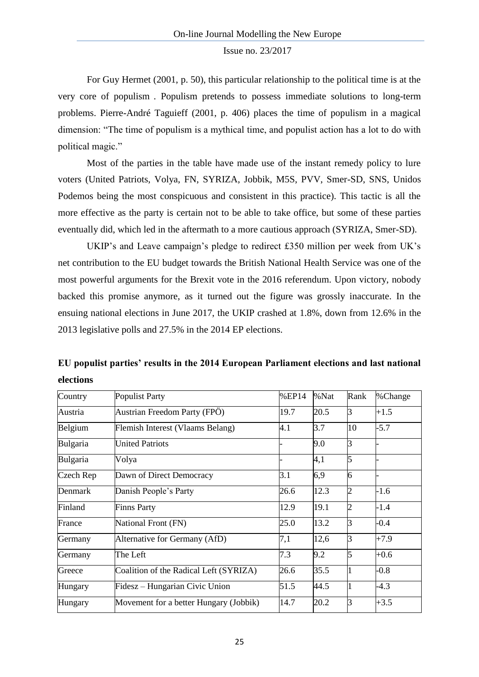For Guy Hermet (2001, p. 50), this particular relationship to the political time is at the very core of populism . Populism pretends to possess immediate solutions to long-term problems. Pierre-André Taguieff (2001, p. 406) places the time of populism in a magical dimension: "The time of populism is a mythical time, and populist action has a lot to do with political magic."

Most of the parties in the table have made use of the instant remedy policy to lure voters (United Patriots, Volya, FN, SYRIZA, Jobbik, M5S, PVV, Smer-SD, SNS, Unidos Podemos being the most conspicuous and consistent in this practice). This tactic is all the more effective as the party is certain not to be able to take office, but some of these parties eventually did, which led in the aftermath to a more cautious approach (SYRIZA, Smer-SD).

UKIP's and Leave campaign's pledge to redirect £350 million per week from UK's net contribution to the EU budget towards the British National Health Service was one of the most powerful arguments for the Brexit vote in the 2016 referendum. Upon victory, nobody backed this promise anymore, as it turned out the figure was grossly inaccurate. In the ensuing national elections in June 2017, the UKIP crashed at 1.8%, down from 12.6% in the 2013 legislative polls and 27.5% in the 2014 EP elections.

| EU populist parties' results in the 2014 European Parliament elections and last national |  |  |  |
|------------------------------------------------------------------------------------------|--|--|--|
| elections                                                                                |  |  |  |

| Country   | <b>Populist Party</b>                  | %EP14 | %Nat | Rank           | %Change |
|-----------|----------------------------------------|-------|------|----------------|---------|
| Austria   | Austrian Freedom Party (FPÖ)           | 19.7  | 20.5 | 3              | $+1.5$  |
| Belgium   | Flemish Interest (Vlaams Belang)       | 4.1   | 3.7  | 10             | $-5.7$  |
| Bulgaria  | <b>United Patriots</b>                 |       | 9.0  | 3              |         |
| Bulgaria  | Volya                                  |       | 4,1  | 5              |         |
| Czech Rep | Dawn of Direct Democracy               | 3.1   | 6,9  | 6              |         |
| Denmark   | Danish People's Party                  | 26.6  | 12.3 | $\overline{2}$ | $-1.6$  |
| Finland   | <b>Finns Party</b>                     | 12.9  | 19.1 | 2              | $-1.4$  |
| France    | National Front (FN)                    | 25.0  | 13.2 | 3              | $-0.4$  |
| Germany   | Alternative for Germany (AfD)          | 7,1   | 12,6 | 3              | $+7.9$  |
| Germany   | The Left                               | 7.3   | 9.2  | 5              | $+0.6$  |
| Greece    | Coalition of the Radical Left (SYRIZA) | 26.6  | 35.5 |                | $-0.8$  |
| Hungary   | Fidesz – Hungarian Civic Union         | 51.5  | 44.5 |                | $-4.3$  |
| Hungary   | Movement for a better Hungary (Jobbik) | 14.7  | 20.2 | 3              | $+3.5$  |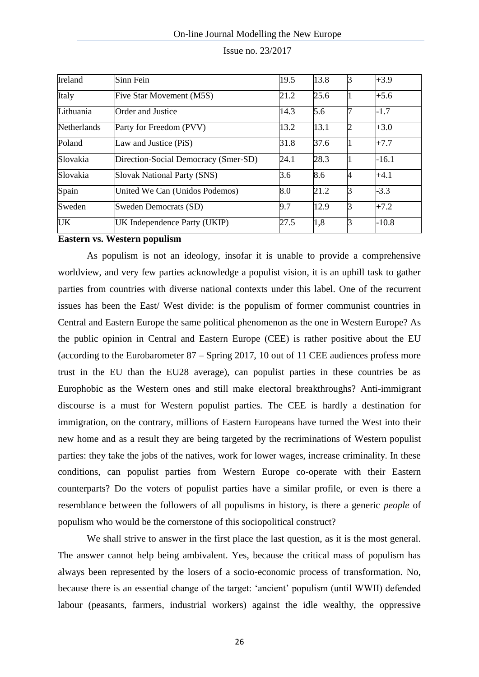| Ireland            | Sinn Fein                            | 19.5 | 13.8 | 3              | $+3.9$  |
|--------------------|--------------------------------------|------|------|----------------|---------|
| Italy              | Five Star Movement (M5S)             | 21.2 | 25.6 |                | $+5.6$  |
| Lithuania          | <b>Order and Justice</b>             | 14.3 | 5.6  |                | $-1.7$  |
| <b>Netherlands</b> | Party for Freedom (PVV)              | 13.2 | 13.1 | $\overline{2}$ | $+3.0$  |
| Poland             | Law and Justice (PiS)                | 31.8 | 37.6 |                | $+7.7$  |
| Slovakia           | Direction-Social Democracy (Smer-SD) | 24.1 | 28.3 |                | $-16.1$ |
| Slovakia           | <b>Slovak National Party (SNS)</b>   | 3.6  | 8.6  | 4              | $+4.1$  |
| Spain              | United We Can (Unidos Podemos)       | 8.0  | 21.2 | ß              | $-3.3$  |
| Sweden             | Sweden Democrats (SD)                | 9.7  | 12.9 |                | $+7.2$  |
| <b>UK</b>          | UK Independence Party (UKIP)         | 27.5 | 1,8  |                | $-10.8$ |

| Issue no. 23/2017 |  |
|-------------------|--|
|-------------------|--|

**Eastern vs. Western populism**

As populism is not an ideology, insofar it is unable to provide a comprehensive worldview, and very few parties acknowledge a populist vision, it is an uphill task to gather parties from countries with diverse national contexts under this label. One of the recurrent issues has been the East/ West divide: is the populism of former communist countries in Central and Eastern Europe the same political phenomenon as the one in Western Europe? As the public opinion in Central and Eastern Europe (CEE) is rather positive about the EU (according to the Eurobarometer 87 – Spring 2017, 10 out of 11 CEE audiences profess more trust in the EU than the EU28 average), can populist parties in these countries be as Europhobic as the Western ones and still make electoral breakthroughs? Anti-immigrant discourse is a must for Western populist parties. The CEE is hardly a destination for immigration, on the contrary, millions of Eastern Europeans have turned the West into their new home and as a result they are being targeted by the recriminations of Western populist parties: they take the jobs of the natives, work for lower wages, increase criminality. In these conditions, can populist parties from Western Europe co-operate with their Eastern counterparts? Do the voters of populist parties have a similar profile, or even is there a resemblance between the followers of all populisms in history, is there a generic *people* of populism who would be the cornerstone of this sociopolitical construct?

We shall strive to answer in the first place the last question, as it is the most general. The answer cannot help being ambivalent. Yes, because the critical mass of populism has always been represented by the losers of a socio-economic process of transformation. No, because there is an essential change of the target: 'ancient' populism (until WWII) defended labour (peasants, farmers, industrial workers) against the idle wealthy, the oppressive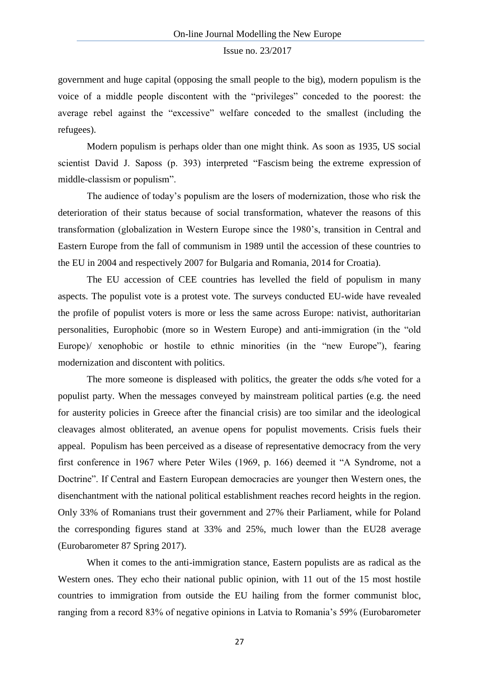government and huge capital (opposing the small people to the big), modern populism is the voice of a middle people discontent with the "privileges" conceded to the poorest: the average rebel against the "excessive" welfare conceded to the smallest (including the refugees).

Modern populism is perhaps older than one might think. As soon as 1935, US social scientist David J. Saposs (p. 393) interpreted "Fascism being the extreme expression of middle-classism or populism".

The audience of today's populism are the losers of modernization, those who risk the deterioration of their status because of social transformation, whatever the reasons of this transformation (globalization in Western Europe since the 1980's, transition in Central and Eastern Europe from the fall of communism in 1989 until the accession of these countries to the EU in 2004 and respectively 2007 for Bulgaria and Romania, 2014 for Croatia).

The EU accession of CEE countries has levelled the field of populism in many aspects. The populist vote is a protest vote. The surveys conducted EU-wide have revealed the profile of populist voters is more or less the same across Europe: nativist, authoritarian personalities, Europhobic (more so in Western Europe) and anti-immigration (in the "old Europe)/ xenophobic or hostile to ethnic minorities (in the "new Europe"), fearing modernization and discontent with politics.

The more someone is displeased with politics, the greater the odds s/he voted for a populist party. When the messages conveyed by mainstream political parties (e.g. the need for austerity policies in Greece after the financial crisis) are too similar and the ideological cleavages almost obliterated, an avenue opens for populist movements. Crisis fuels their appeal. Populism has been perceived as a disease of representative democracy from the very first conference in 1967 where Peter Wiles (1969, p. 166) deemed it "A Syndrome, not a Doctrine". If Central and Eastern European democracies are younger then Western ones, the disenchantment with the national political establishment reaches record heights in the region. Only 33% of Romanians trust their government and 27% their Parliament, while for Poland the corresponding figures stand at 33% and 25%, much lower than the EU28 average (Eurobarometer 87 Spring 2017).

When it comes to the anti-immigration stance, Eastern populists are as radical as the Western ones. They echo their national public opinion, with 11 out of the 15 most hostile countries to immigration from outside the EU hailing from the former communist bloc, ranging from a record 83% of negative opinions in Latvia to Romania's 59% (Eurobarometer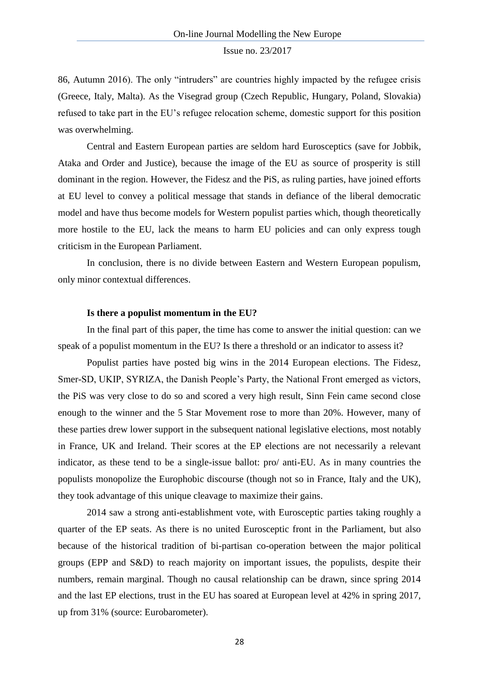86, Autumn 2016). The only "intruders" are countries highly impacted by the refugee crisis (Greece, Italy, Malta). As the Visegrad group (Czech Republic, Hungary, Poland, Slovakia) refused to take part in the EU's refugee relocation scheme, domestic support for this position was overwhelming.

Central and Eastern European parties are seldom hard Eurosceptics (save for Jobbik, Ataka and Order and Justice), because the image of the EU as source of prosperity is still dominant in the region. However, the Fidesz and the PiS, as ruling parties, have joined efforts at EU level to convey a political message that stands in defiance of the liberal democratic model and have thus become models for Western populist parties which, though theoretically more hostile to the EU, lack the means to harm EU policies and can only express tough criticism in the European Parliament.

In conclusion, there is no divide between Eastern and Western European populism, only minor contextual differences.

### **Is there a populist momentum in the EU?**

In the final part of this paper, the time has come to answer the initial question: can we speak of a populist momentum in the EU? Is there a threshold or an indicator to assess it?

Populist parties have posted big wins in the 2014 European elections. The Fidesz, Smer-SD, UKIP, SYRIZA, the Danish People's Party, the National Front emerged as victors, the PiS was very close to do so and scored a very high result, Sinn Fein came second close enough to the winner and the 5 Star Movement rose to more than 20%. However, many of these parties drew lower support in the subsequent national legislative elections, most notably in France, UK and Ireland. Their scores at the EP elections are not necessarily a relevant indicator, as these tend to be a single-issue ballot: pro/ anti-EU. As in many countries the populists monopolize the Europhobic discourse (though not so in France, Italy and the UK), they took advantage of this unique cleavage to maximize their gains.

2014 saw a strong anti-establishment vote, with Eurosceptic parties taking roughly a quarter of the EP seats. As there is no united Eurosceptic front in the Parliament, but also because of the historical tradition of bi-partisan co-operation between the major political groups (EPP and S&D) to reach majority on important issues, the populists, despite their numbers, remain marginal. Though no causal relationship can be drawn, since spring 2014 and the last EP elections, trust in the EU has soared at European level at 42% in spring 2017, up from 31% (source: Eurobarometer).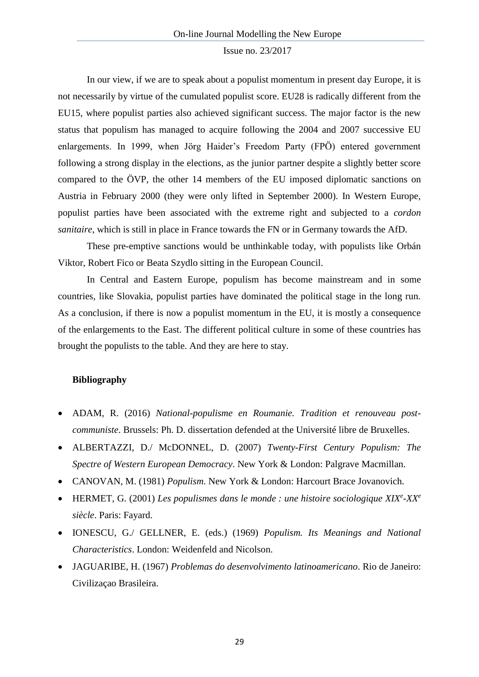In our view, if we are to speak about a populist momentum in present day Europe, it is not necessarily by virtue of the cumulated populist score. EU28 is radically different from the EU15, where populist parties also achieved significant success. The major factor is the new status that populism has managed to acquire following the 2004 and 2007 successive EU enlargements. In 1999, when Jörg Haider's Freedom Party (FPÖ) entered government following a strong display in the elections, as the junior partner despite a slightly better score compared to the ÖVP, the other 14 members of the EU imposed diplomatic sanctions on Austria in February 2000 (they were only lifted in September 2000). In Western Europe, populist parties have been associated with the extreme right and subjected to a *cordon sanitaire*, which is still in place in France towards the FN or in Germany towards the AfD.

These pre-emptive sanctions would be unthinkable today, with populists like Orbán Viktor, Robert Fico or Beata Szydlo sitting in the European Council.

In Central and Eastern Europe, populism has become mainstream and in some countries, like Slovakia, populist parties have dominated the political stage in the long run. As a conclusion, if there is now a populist momentum in the EU, it is mostly a consequence of the enlargements to the East. The different political culture in some of these countries has brought the populists to the table. And they are here to stay.

### **Bibliography**

- ADAM, R. (2016) *National-populisme en Roumanie. Tradition et renouveau postcommuniste*. Brussels: Ph. D. dissertation defended at the Université libre de Bruxelles.
- ALBERTAZZI, D./ McDONNEL, D. (2007) *Twenty-First Century Populism: The Spectre of Western European Democracy*. New York & London: Palgrave Macmillan.
- CANOVAN, M. (1981) *Populism*. New York & London: Harcourt Brace Jovanovich.
- HERMET, G. (2001) *Les populismes dans le monde : une histoire sociologique XIX<sup>e</sup> -XX<sup>e</sup> siècle*. Paris: Fayard.
- IONESCU, G./ GELLNER, E. (eds.) (1969) *Populism. Its Meanings and National Characteristics*. London: Weidenfeld and Nicolson.
- JAGUARIBE, H. (1967) *Problemas do desenvolvimento latinoamericano*. Rio de Janeiro: Civilizaçao Brasileira.